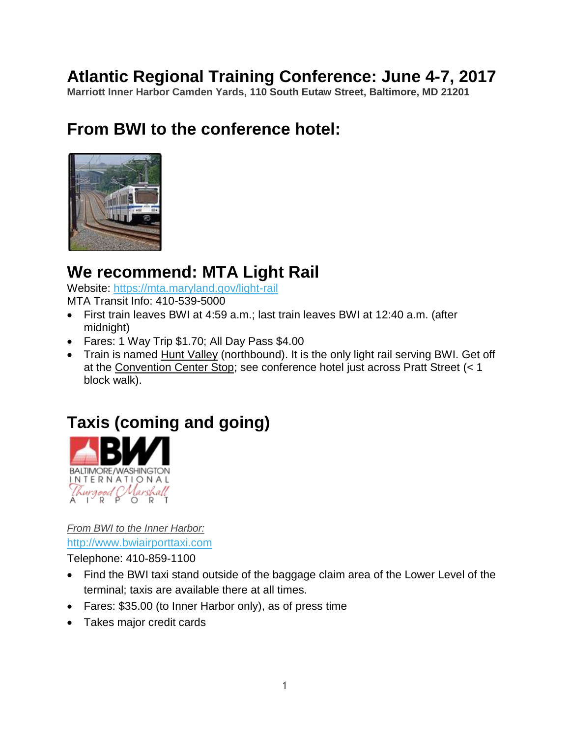## **Atlantic Regional Training Conference: June 4-7, 2017**

**Marriott Inner Harbor Camden Yards, 110 South Eutaw Street, Baltimore, MD 21201**

## **From BWI to the conference hotel:**



## **We recommend: MTA Light Rail**

Website:<https://mta.maryland.gov/light-rail>

MTA Transit Info: 410-539-5000

- First train leaves BWI at 4:59 a.m.; last train leaves BWI at 12:40 a.m. (after midnight)
- Fares: 1 Way Trip \$1.70; All Day Pass \$4.00
- Train is named Hunt Valley (northbound). It is the only light rail serving BWI. Get off at the Convention Center Stop; see conference hotel just across Pratt Street (< 1 block walk).

# **Taxis (coming and going)**



*From BWI to the Inner Harbor:* [http://www.bwiairporttaxi.com](http://www.bwiairporttaxi.com/)

Telephone: 410-859-1100

- Find the BWI taxi stand outside of the baggage claim area of the Lower Level of the terminal; taxis are available there at all times.
- Fares: \$35.00 (to Inner Harbor only), as of press time
- Takes major credit cards